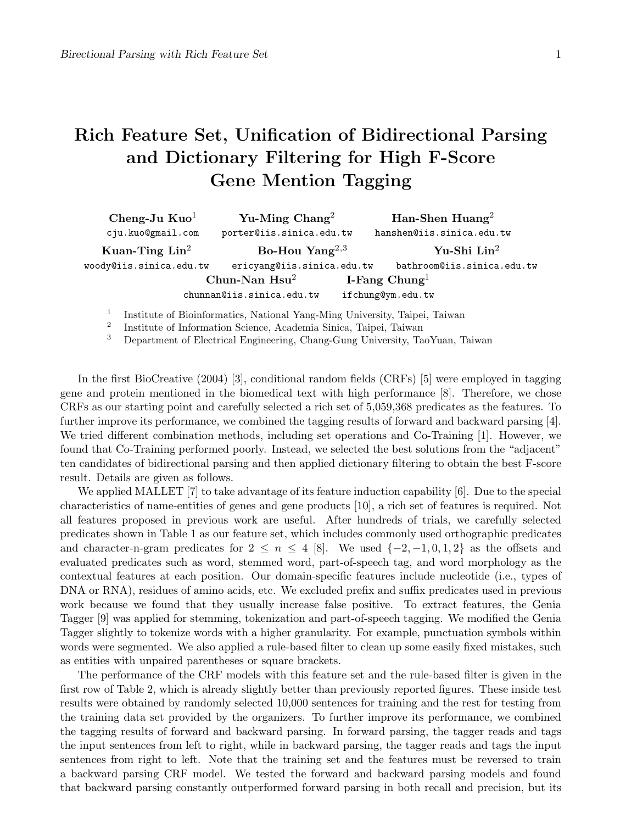## Rich Feature Set, Unification of Bidirectional Parsing and Dictionary Filtering for High F-Score Gene Mention Tagging

| Cheng-Ju $Kuo1$            | Yu-Ming $\text{Chang}^2$   |                           | Han-Shen Huang <sup>2</sup> |
|----------------------------|----------------------------|---------------------------|-----------------------------|
| cju.kuo@gmail.com          | porter@iis.sinica.edu.tw   |                           | hanshen@iis.sinica.edu.tw   |
| Kuan-Ting $\mathrm{Lin}^2$ | Bo-Hou Yang <sup>2,3</sup> |                           | $Yu-Shi$ $Lin2$             |
| woody@iis.sinica.edu.tw    | ericyang@iis.sinica.edu.tw |                           | bathroom@iis.sinica.edu.tw  |
|                            | Chun-Nan $Hsu2$            | I-Fang Chung <sup>1</sup> |                             |
|                            | chunnan@iis.sinica.edu.tw  | ifchung@ym.edu.tw         |                             |
|                            |                            |                           |                             |

1 Institute of Bioinformatics, National Yang-Ming University, Taipei, Taiwan

2 Institute of Information Science, Academia Sinica, Taipei, Taiwan

<sup>3</sup> Department of Electrical Engineering, Chang-Gung University, TaoYuan, Taiwan

In the first BioCreative (2004) [3], conditional random fields (CRFs) [5] were employed in tagging gene and protein mentioned in the biomedical text with high performance [8]. Therefore, we chose CRFs as our starting point and carefully selected a rich set of 5,059,368 predicates as the features. To further improve its performance, we combined the tagging results of forward and backward parsing [4]. We tried different combination methods, including set operations and Co-Training [1]. However, we found that Co-Training performed poorly. Instead, we selected the best solutions from the "adjacent" ten candidates of bidirectional parsing and then applied dictionary filtering to obtain the best F-score result. Details are given as follows.

We applied MALLET [7] to take advantage of its feature induction capability [6]. Due to the special characteristics of name-entities of genes and gene products [10], a rich set of features is required. Not all features proposed in previous work are useful. After hundreds of trials, we carefully selected predicates shown in Table 1 as our feature set, which includes commonly used orthographic predicates and character-n-gram predicates for  $2 \leq n \leq 4$  [8]. We used  $\{-2, -1, 0, 1, 2\}$  as the offsets and evaluated predicates such as word, stemmed word, part-of-speech tag, and word morphology as the contextual features at each position. Our domain-specific features include nucleotide (i.e., types of DNA or RNA), residues of amino acids, etc. We excluded prefix and suffix predicates used in previous work because we found that they usually increase false positive. To extract features, the Genia Tagger [9] was applied for stemming, tokenization and part-of-speech tagging. We modified the Genia Tagger slightly to tokenize words with a higher granularity. For example, punctuation symbols within words were segmented. We also applied a rule-based filter to clean up some easily fixed mistakes, such as entities with unpaired parentheses or square brackets.

The performance of the CRF models with this feature set and the rule-based filter is given in the first row of Table 2, which is already slightly better than previously reported figures. These inside test results were obtained by randomly selected 10,000 sentences for training and the rest for testing from the training data set provided by the organizers. To further improve its performance, we combined the tagging results of forward and backward parsing. In forward parsing, the tagger reads and tags the input sentences from left to right, while in backward parsing, the tagger reads and tags the input sentences from right to left. Note that the training set and the features must be reversed to train a backward parsing CRF model. We tested the forward and backward parsing models and found that backward parsing constantly outperformed forward parsing in both recall and precision, but its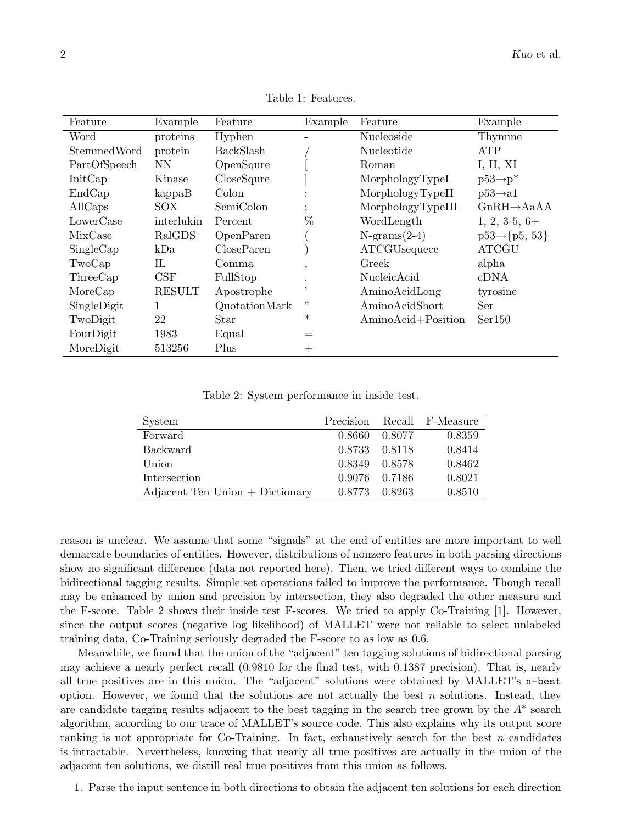| Feature      | Example       | Feature           | Example | Feature            | Example                  |
|--------------|---------------|-------------------|---------|--------------------|--------------------------|
| Word         | proteins      | Hyphen            |         | Nucleoside         | Thymine                  |
| StemmedWord  | protein       | BackSlash         |         | Nucleotide         | <b>ATP</b>               |
| PartOfSpeech | NN            | OpenSqure         |         | Roman              | I, II, XI                |
| InitCap      | Kinase        | CloseSqure        |         | MorphologyTypeI    | $p53 \rightarrow p^*$    |
| EndCap       | kappaB        | Colon             |         | MorphologyTypeII   | $p53 \rightarrow a1$     |
| AllCaps      | SOX           | SemiColon         |         | MorphologyTypeIII  | $GnRH \rightarrow AaAA$  |
| LowerCase    | interlukin    | Percent           | %       | WordLength         | $1, 2, 3-5, 6+$          |
| MixCase      | RalGDS        | OpenParen         |         | $N-grams(2-4)$     | $p53 \rightarrow p5, 53$ |
| SingleCap    | kDa           | <b>CloseParen</b> |         | ATCGUsequece       | <b>ATCGU</b>             |
| TwoCap       | $_{\rm IL}$   | Comma             | $\cdot$ | Greek              | alpha                    |
| ThreeCap     | CSF           | FullStop          | $\cdot$ | NucleicAcid        | cDNA                     |
| MoreCap      | <b>RESULT</b> | Apostrophe        | ,       | AminoAcidLong      | tyrosine                 |
| SingleDigit  | 1             | QuotationMark     | "       | AminoAcidShort     | Ser                      |
| TwoDigit     | 22            | Star              | $\ast$  | AminoAcid+Position | Ser150                   |
| FourDigit    | 1983          | Equal             |         |                    |                          |
| MoreDigit    | 513256        | Plus              | $^{+}$  |                    |                          |

Table 1: Features.

Table 2: System performance in inside test.

| System                                          |               |        | Precision Recall F-Measure |
|-------------------------------------------------|---------------|--------|----------------------------|
| Forward                                         | 0.8660 0.8077 |        | 0.8359                     |
| <b>Backward</b>                                 | 0.8733 0.8118 |        | 0.8414                     |
| Union                                           | 0.8349 0.8578 |        | 0.8462                     |
| Intersection                                    | 0.9076 0.7186 |        | 0.8021                     |
| $\text{Adjacent Ten Union} + \text{Dictionary}$ | 0.8773        | 0.8263 | 0.8510                     |

reason is unclear. We assume that some "signals" at the end of entities are more important to well demarcate boundaries of entities. However, distributions of nonzero features in both parsing directions show no significant difference (data not reported here). Then, we tried different ways to combine the bidirectional tagging results. Simple set operations failed to improve the performance. Though recall may be enhanced by union and precision by intersection, they also degraded the other measure and the F-score. Table 2 shows their inside test F-scores. We tried to apply Co-Training [1]. However, since the output scores (negative log likelihood) of MALLET were not reliable to select unlabeled training data, Co-Training seriously degraded the F-score to as low as 0.6.

Meanwhile, we found that the union of the "adjacent" ten tagging solutions of bidirectional parsing may achieve a nearly perfect recall (0.9810 for the final test, with 0.1387 precision). That is, nearly all true positives are in this union. The "adjacent" solutions were obtained by MALLET's n-best option. However, we found that the solutions are not actually the best  $n$  solutions. Instead, they are candidate tagging results adjacent to the best tagging in the search tree grown by the  $A^*$  search algorithm, according to our trace of MALLET's source code. This also explains why its output score ranking is not appropriate for Co-Training. In fact, exhaustively search for the best  $n$  candidates is intractable. Nevertheless, knowing that nearly all true positives are actually in the union of the adjacent ten solutions, we distill real true positives from this union as follows.

1. Parse the input sentence in both directions to obtain the adjacent ten solutions for each direction